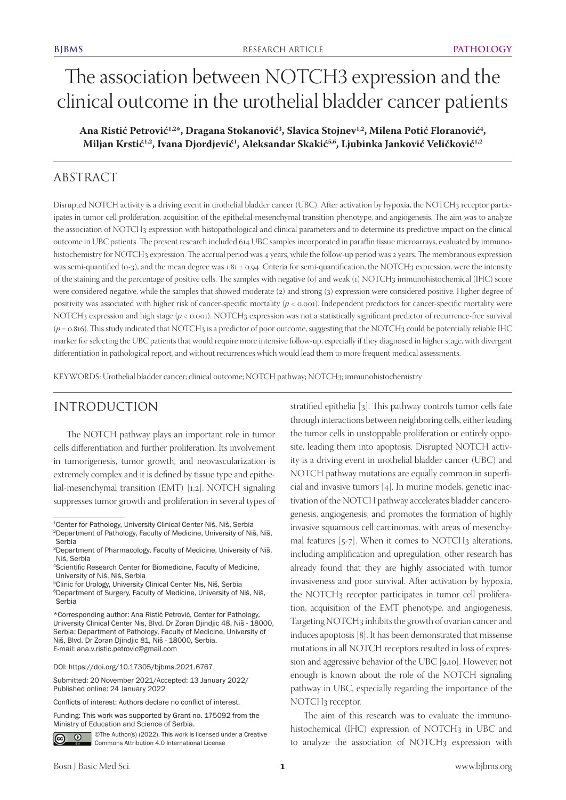# The association between NOTCH3 expression and the clinical outcome in the urothelial bladder cancer patients

Ana Ristić Petrović<sup>1,2</sup>\*, Dragana Stokanović<sup>3</sup>, Slavica Stojnev<sup>1,2</sup>, Milena Potić Floranović<sup>4</sup>, Miljan Krstić<sup>1,2</sup>, Ivana Djordjević<sup>1</sup>, Aleksandar Skakić<sup>5,6</sup>, Ljubinka Janković Veličković<sup>1,2</sup>

## ABSTRACT

Disrupted NOTCH activity is a driving event in urothelial bladder cancer (UBC). After activation by hypoxia, the NOTCH3 receptor participates in tumor cell proliferation, acquisition of the epithelial-mesenchymal transition phenotype, and angiogenesis. The aim was to analyze the association of NOTCH3 expression with histopathological and clinical parameters and to determine its predictive impact on the clinical outcome in UBC patients. The present research included 614 UBC samples incorporated in paraffin tissue microarrays, evaluated by immunohistochemistry for NOTCH3 expression. The accrual period was 4 years, while the follow-up period was 2 years. The membranous expression was semi-quantified ( $o-3$ ), and the mean degree was  $1.81 \pm 0.94$ . Criteria for semi-quantification, the NOTCH3 expression, were the intensity of the staining and the percentage of positive cells. The samples with negative (0) and weak (1) NOTCH3 immunohistochemical (IHC) score were considered negative, while the samples that showed moderate (2) and strong (3) expression were considered positive. Higher degree of positivity was associated with higher risk of cancer-specific mortality (*p* < 0.001). Independent predictors for cancer-specific mortality were NOTCH3 expression and high stage (*p* < 0.001). NOTCH3 expression was not a statistically significant predictor of recurrence-free survival  $(p = 0.816)$ . This study indicated that NOTCH<sub>3</sub> is a predictor of poor outcome, suggesting that the NOTCH<sub>3</sub> could be potentially reliable IHC marker for selecting the UBC patients that would require more intensive follow-up, especially if they diagnosed in higher stage, with divergent differentiation in pathological report, and without recurrences which would lead them to more frequent medical assessments.

KEYWORDS: Urothelial bladder cancer; clinical outcome; NOTCH pathway; NOTCH3; immunohistochemistry

## INTRODUCTION

The NOTCH pathway plays an important role in tumor cells differentiation and further proliferation. Its involvement in tumorigenesis, tumor growth, and neovascularization is extremely complex and it is defined by tissue type and epithelial-mesenchymal transition (EMT) [1,2]. NOTCH signaling suppresses tumor growth and proliferation in several types of

DOI: https://doi.org/10.17305/bjbms.2021.6767

Submitted: 20 November 2021/Accepted: 13 January 2022/ Published online: 24 January 2022

Conflicts of interest: Authors declare no conflict of interest.

Funding: This work was supported by Grant no. 175092 from the Ministry of Education and Science of Serbia.



©The Author(s) (2022). This work is licensed under a Creative Commons Attribution 4.0 International License

stratified epithelia [3]. This pathway controls tumor cells fate through interactions between neighboring cells, either leading the tumor cells in unstoppable proliferation or entirely opposite, leading them into apoptosis. Disrupted NOTCH activity is a driving event in urothelial bladder cancer (UBC) and NOTCH pathway mutations are equally common in superficial and invasive tumors [4]. In murine models, genetic inactivation of the NOTCH pathway accelerates bladder cancerogenesis, angiogenesis, and promotes the formation of highly invasive squamous cell carcinomas, with areas of mesenchymal features  $[5-7]$ . When it comes to NOTCH3 alterations, including amplification and upregulation, other research has already found that they are highly associated with tumor invasiveness and poor survival. After activation by hypoxia, the NOTCH3 receptor participates in tumor cell proliferation, acquisition of the EMT phenotype, and angiogenesis. Targeting NOTCH3 inhibits the growth of ovarian cancer and induces apoptosis [8]. It has been demonstrated that missense mutations in all NOTCH receptors resulted in loss of expression and aggressive behavior of the UBC [9,10]. However, not enough is known about the role of the NOTCH signaling pathway in UBC, especially regarding the importance of the NOTCH3 receptor.

The aim of this research was to evaluate the immunohistochemical (IHC) expression of NOTCH3 in UBC and to analyze the association of NOTCH3 expression with

<sup>1</sup>Center for Pathology, University Clinical Center Niš, Niš, Serbia 2Department of Pathology, Faculty of Medicine, University of Niš, Niš, Serbia

<sup>3</sup>Department of Pharmacology, Faculty of Medicine, University of Niš, Niš, Serbia

<sup>4</sup>Scientific Research Center for Biomedicine, Faculty of Medicine, University of Niš, Niš, Serbia

<sup>5</sup>Clinic for Urology, University Clinical Center Nis, Niš, Serbia <sup>6</sup>Department of Surgery, Faculty of Medicine, University of Niš, Niš, Serbia

<sup>\*</sup>Corresponding author: Ana Ristić Petrović, Center for Pathology, University Clinical Center Nis, Blvd. Dr Zoran Djindjic 48, Niš - 18000, Serbia; Department of Pathology, Faculty of Medicine, University of Niš, Blvd. Dr Zoran Djindjic 81, Niš - 18000, Serbia. E-mail: ana.v.ristic.petrovic@gmail.com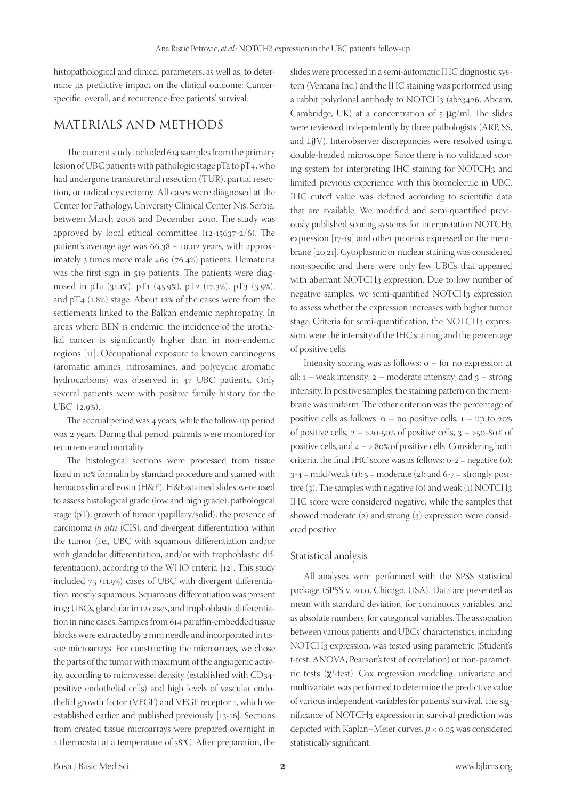histopathological and clinical parameters, as well as, to determine its predictive impact on the clinical outcome: Cancerspecific, overall, and recurrence-free patients' survival.

### MATERIALS AND METHODS

The current study included 614 samples from the primary lesion of UBC patients with pathologic stage pTa to pT<sub>4</sub>, who had undergone transurethral resection (TUR), partial resection, or radical cystectomy. All cases were diagnosed at the Center for Pathology, University Clinical Center Niš, Serbia, between March 2006 and December 2010. The study was approved by local ethical committee (12-15637-2/6). The patient's average age was  $66.38 \pm 10.02$  years, with approximately 3 times more male 469 (76.4%) patients. Hematuria was the first sign in 519 patients. The patients were diagnosed in pTa (31.1%), pT1 (45.9%), pT2 (17.3%), pT3 (3.9%), and pT4 (1.8%) stage. About 12% of the cases were from the settlements linked to the Balkan endemic nephropathy. In areas where BEN is endemic, the incidence of the urothelial cancer is significantly higher than in non-endemic regions [11]. Occupational exposure to known carcinogens (aromatic amines, nitrosamines, and polycyclic aromatic hydrocarbons) was observed in 47 UBC patients. Only several patients were with positive family history for the UBC (2.9%).

The accrual period was 4 years, while the follow-up period was 2 years. During that period, patients were monitored for recurrence and mortality.

The histological sections were processed from tissue fixed in 10% formalin by standard procedure and stained with hematoxylin and eosin (H&E). H&E-stained slides were used to assess histological grade (low and high grade), pathological stage (pT), growth of tumor (papillary/solid), the presence of carcinoma *in situ* (CIS), and divergent differentiation within the tumor (i.e., UBC with squamous differentiation and/or with glandular differentiation, and/or with trophoblastic differentiation), according to the WHO criteria [12]. This study included 73 (11.9%) cases of UBC with divergent differentiation, mostly squamous. Squamous differentiation was present in 53 UBCs, glandular in 12 cases, and trophoblastic differentiation in nine cases. Samples from 614 paraffin-embedded tissue blocks were extracted by 2 mm needle and incorporated in tissue microarrays. For constructing the microarrays, we chose the parts of the tumor with maximum of the angiogenic activity, according to microvessel density (established with CD34 positive endothelial cells) and high levels of vascular endothelial growth factor (VEGF) and VEGF receptor 1, which we established earlier and published previously [13-16]. Sections from created tissue microarrays were prepared overnight in a thermostat at a temperature of 58°C. After preparation, the slides were processed in a semi-automatic IHC diagnostic system (Ventana Inc.) and the IHC staining was performed using a rabbit polyclonal antibody to NOTCH<sub>3</sub> (ab23426, Abcam, Cambridge, UK) at a concentration of  $5 \mu g/ml$ . The slides were reviewed independently by three pathologists (ARP, SS, and LjJV). Interobserver discrepancies were resolved using a double-headed microscope. Since there is no validated scoring system for interpreting IHC staining for NOTCH3 and limited previous experience with this biomolecule in UBC, IHC cutoff value was defined according to scientific data that are available. We modified and semi-quantified previously published scoring systems for interpretation NOTCH3 expression [17-19] and other proteins expressed on the membrane [20,21]. Cytoplasmic or nuclear staining was considered non-specific and there were only few UBCs that appeared with aberrant NOTCH3 expression. Due to low number of negative samples, we semi-quantified NOTCH3 expression to assess whether the expression increases with higher tumor stage. Criteria for semi-quantification, the NOTCH3 expression, were the intensity of the IHC staining and the percentage of positive cells.

Intensity scoring was as follows:  $o$  – for no expression at all;  $1$  – weak intensity;  $2$  – moderate intensity; and  $3$  – strong intensity. In positive samples, the staining pattern on the membrane was uniform. The other criterion was the percentage of positive cells as follows:  $o - no$  positive cells,  $1 - up$  to 20% of positive cells,  $2 - 20 - 50\%$  of positive cells,  $3 - 50 - 80\%$  of positive cells, and  $4 - > 80\%$  of positive cells. Considering both criteria, the final IHC score was as follows:  $o-z$  = negative  $(o)$ ;  $3-4 = \text{mild/weak}$  (1);  $5 = \text{moderate}$  (2); and  $6-7 = \text{strongly posi-}$ tive  $(3)$ . The samples with negative  $(0)$  and weak  $(1)$  NOTCH<sub>3</sub> IHC score were considered negative, while the samples that showed moderate (2) and strong (3) expression were considered positive.

#### Statistical analysis

All analyses were performed with the SPSS statistical package (SPSS v. 20.0, Chicago, USA). Data are presented as mean with standard deviation, for continuous variables, and as absolute numbers, for categorical variables. The association between various patients' and UBCs' characteristics, including NOTCH3 expression, was tested using parametric (Student's t-test, ANOVA, Pearson's test of correlation) or non-parametric tests (x<sup>2</sup>-test). Cox regression modeling, univariate and multivariate, was performed to determine the predictive value of various independent variables for patients' survival. The significance of NOTCH3 expression in survival prediction was depicted with Kaplan–Meier curves. *p* < 0.05 was considered statistically significant.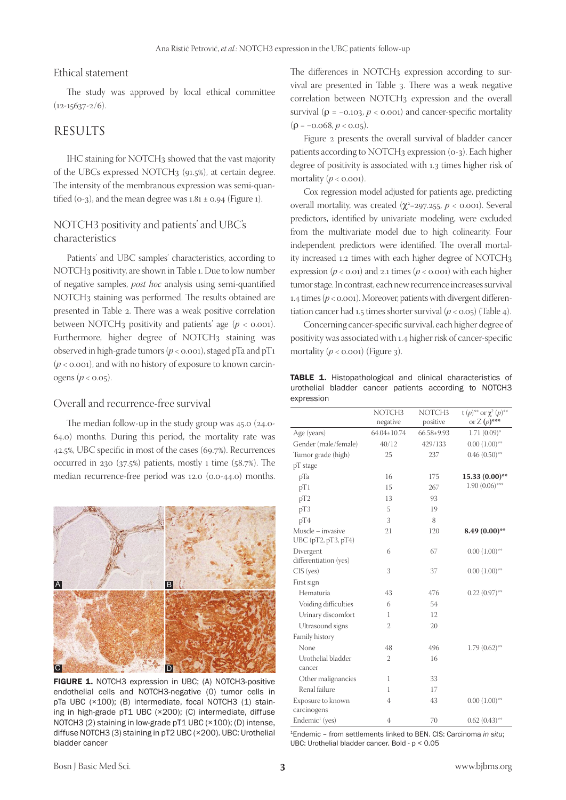#### Ethical statement

The study was approved by local ethical committee  $(12-15637-2/6)$ .

#### RESULTS

IHC staining for NOTCH3 showed that the vast majority of the UBCs expressed NOTCH3 (91.5%), at certain degree. The intensity of the membranous expression was semi-quantified ( $o-3$ ), and the mean degree was  $1.81 \pm 0.94$  (Figure 1).

#### NOTCH3 positivity and patients' and UBC's characteristics

Patients' and UBC samples' characteristics, according to NOTCH3 positivity, are shown in Table 1. Due to low number of negative samples, *post hoc* analysis using semi-quantified NOTCH3 staining was performed. The results obtained are presented in Table 2. There was a weak positive correlation between NOTCH<sub>3</sub> positivity and patients' age ( $p < 0.001$ ). Furthermore, higher degree of NOTCH3 staining was observed in high-grade tumors ( $p <$  0.001), staged pTa and pT1  $(p < 0.001)$ , and with no history of exposure to known carcinogens ( $p < 0.05$ ).

#### Overall and recurrence-free survival

The median follow-up in the study group was 45.0 (24.0- 64.0) months. During this period, the mortality rate was 42.5%, UBC specific in most of the cases (69.7%). Recurrences occurred in 230  $(37.5%)$  patients, mostly 1 time  $(58.7%).$  The median recurrence-free period was 12.0 (0.0-44.0) months.



FIGURE 1. NOTCH3 expression in UBC; (A) NOTCH3-positive endothelial cells and NOTCH3-negative (0) tumor cells in pTa UBC (×100); (B) intermediate, focal NOTCH3 (1) staining in high-grade pT1 UBC (×200); (C) intermediate, diffuse NOTCH3 (2) staining in low-grade pT1 UBC (×100); (D) intense, diffuse NOTCH3 (3) staining in pT2 UBC (×200). UBC: Urothelial bladder cancer

The differences in NOTCH<sub>3</sub> expression according to survival are presented in Table 3. There was a weak negative correlation between NOTCH3 expression and the overall survival ( $\rho$  = -0.103,  $p < 0.001$ ) and cancer-specific mortality  $(\rho = -0.068, p < 0.05)$ .

Figure 2 presents the overall survival of bladder cancer patients according to NOTCH3 expression (0-3). Each higher degree of positivity is associated with 1.3 times higher risk of mortality  $(p < 0.001)$ .

Cox regression model adjusted for patients age, predicting overall mortality, was created  $(\chi^2=297.255, p < 0.001)$ . Several predictors, identified by univariate modeling, were excluded from the multivariate model due to high colinearity. Four independent predictors were identified. The overall mortality increased 1.2 times with each higher degree of NOTCH3 expression  $(p < 0.01)$  and 2.1 times  $(p < 0.001)$  with each higher tumor stage. In contrast, each new recurrence increases survival 1.4 times  $(p < 0.001)$ . Moreover, patients with divergent differentiation cancer had 1.5 times shorter survival  $(p < 0.05)$  (Table 4).

Concerning cancer-specific survival, each higher degree of positivity was associated with 1.4 higher risk of cancer-specific mortality  $(p < 0.001)$  (Figure 3).

TABLE 1. Histopathological and clinical characteristics of urothelial bladder cancer patients according to NOTCH3 expression

|                            | NOTCH3          | NOTCH <sub>3</sub> | t $(p)$ <sup>**</sup> or $\chi^2(p)$ <sup>**</sup> |
|----------------------------|-----------------|--------------------|----------------------------------------------------|
|                            | negative        | positive           | or $Z(p)$ ***                                      |
| Age (years)                | $64.04 + 10.74$ | 66.58+9.93         | $1.71(0.09)$ *                                     |
| Gender (male/female)       | 40/12           | 429/133            | $0.00(1.00)$ **                                    |
| Tumor grade (high)         | 25              | 237                | $0.46(0.50)$ **                                    |
| pT stage                   |                 |                    |                                                    |
| pTa                        | 16              | 175                | $15.33(0.00)$ **                                   |
| pT1                        | 15              | 267                | $1.90(0.06)$ ***                                   |
| pT <sub>2</sub>            | 13              | 93                 |                                                    |
| pT3                        | 5               | 19                 |                                                    |
| pT4                        | 3               | 8                  |                                                    |
| Muscle – invasive          | 21              | 120                | $8.49(0.00)$ **                                    |
| UBC(pT2, pT3, pT4)         |                 |                    |                                                    |
| Divergent                  | 6               | 67                 | $0.00(1.00)$ **                                    |
| differentiation (yes)      |                 |                    |                                                    |
| $CIS$ (yes)                | 3               | 37                 | $0.00(1.00)$ **                                    |
| First sign                 |                 |                    |                                                    |
| Hematuria                  | 43              | 476                | $0.22(0.97)$ **                                    |
| Voiding difficulties       | 6               | 54                 |                                                    |
| Urinary discomfort         | 1               | 12                 |                                                    |
| Ultrasound signs           | $\overline{2}$  | 20                 |                                                    |
| Family history             |                 |                    |                                                    |
| None                       | 48              | 496                | $1.79(0.62)$ **                                    |
| Urothelial bladder         | 2               | 16                 |                                                    |
| cancer                     |                 |                    |                                                    |
| Other malignancies         | 1               | 33                 |                                                    |
| Renal failure              | 1               | 17                 |                                                    |
| Exposure to known          | 4               | 43                 | $0.00(1.00)$ <sup>**</sup>                         |
| carcinogens                |                 |                    |                                                    |
| Endemic <sup>1</sup> (yes) | 4               | 70                 | $0.62(0.43)$ **                                    |
|                            |                 |                    |                                                    |

<sup>1</sup>Endemic – from settlements linked to BEN. CIS: Carcinoma *in situ*; UBC: Urothelial bladder cancer. Bold - p < 0.05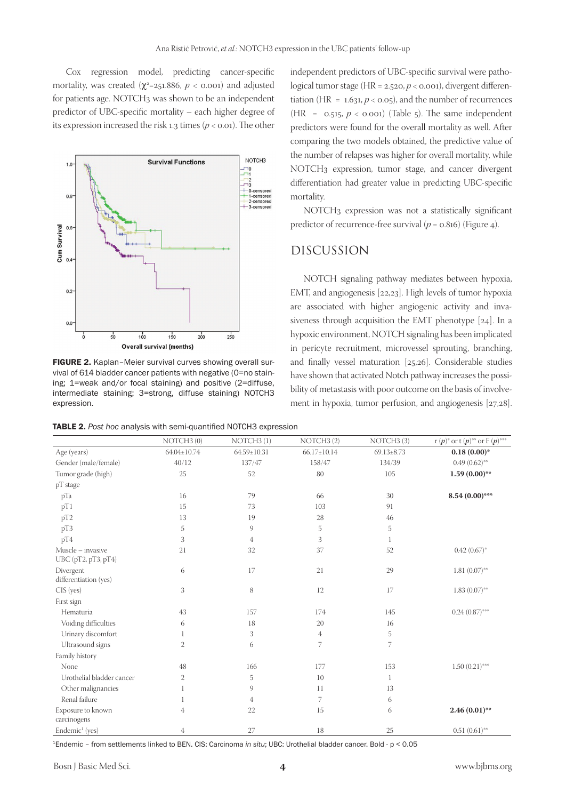Cox regression model, predicting cancer-specific mortality, was created ( $\chi^2$ =251.886,  $p <$  0.001) and adjusted for patients age. NOTCH<sub>3</sub> was shown to be an independent predictor of UBC-specific mortality – each higher degree of its expression increased the risk 1.3 times  $(p < 0.01)$ . The other



FIGURE 2. Kaplan–Meier survival curves showing overall survival of 614 bladder cancer patients with negative (0=no staining; 1=weak and/or focal staining) and positive (2=diffuse, intermediate staining; 3=strong, diffuse staining) NOTCH3 expression.

TABLE 2. *Post hoc* analysis with semi‑quantified NOTCH3 expression

independent predictors of UBC-specific survival were pathological tumor stage (HR = 2.520, *p* < 0.001), divergent differentiation (HR =  $1.631, p < 0.05$ ), and the number of recurrences (HR =  $0.515$ ,  $p < 0.001$ ) (Table 5). The same independent predictors were found for the overall mortality as well. After comparing the two models obtained, the predictive value of the number of relapses was higher for overall mortality, while NOTCH3 expression, tumor stage, and cancer divergent differentiation had greater value in predicting UBC-specific mortality.

NOTCH3 expression was not a statistically significant predictor of recurrence-free survival ( $p = 0.816$ ) (Figure 4).

### DISCUSSION

NOTCH signaling pathway mediates between hypoxia, EMT, and angiogenesis [22,23]. High levels of tumor hypoxia are associated with higher angiogenic activity and invasiveness through acquisition the EMT phenotype [24]. In a hypoxic environment, NOTCH signaling has been implicated in pericyte recruitment, microvessel sprouting, branching, and finally vessel maturation [25,26]. Considerable studies have shown that activated Notch pathway increases the possibility of metastasis with poor outcome on the basis of involvement in hypoxia, tumor perfusion, and angiogenesis [27,28].

|                                          | NOTCH3(0)         | NOTCH3(1)         | NOTCH <sub>3</sub> (2) | NOTCH <sub>3</sub> (3) | r $(p)^*$ or t $(p)^{**}$ or F $(p)^{***}$ |
|------------------------------------------|-------------------|-------------------|------------------------|------------------------|--------------------------------------------|
| Age (years)                              | $64.04 \pm 10.74$ | $64.59 \pm 10.31$ | $66.17 \pm 10.14$      | $69.13 \pm 8.73$       | $0.18(0.00)*$                              |
| Gender (male/female)                     | 40/12             | 137/47            | 158/47                 | 134/39                 | $0.49(0.62)$ **                            |
| Tumor grade (high)                       | 25                | 52                | 80                     | 105                    | $1.59(0.00)$ **                            |
| pT stage                                 |                   |                   |                        |                        |                                            |
| pTa                                      | 16                | 79                | 66                     | 30                     | $8.54(0.00)$ ***                           |
| pT1                                      | 15                | 73                | 103                    | 91                     |                                            |
| pT <sub>2</sub>                          | 13                | 19                | 28                     | 46                     |                                            |
| pT3                                      | 5                 | 9                 | 5                      | 5                      |                                            |
| pT4                                      | 3                 | 4                 | 3                      | 1                      |                                            |
| Muscle - invasive<br>UBC (pT2, pT3, pT4) | 21                | 32                | 37                     | 52                     | $0.42(0.67)$ *                             |
| Divergent<br>differentiation (yes)       | 6                 | 17                | 21                     | 29                     | $1.81(0.07)$ **                            |
| CIS (yes)                                | 3                 | 8                 | 12                     | 17                     | $1.83(0.07)$ **                            |
| First sign                               |                   |                   |                        |                        |                                            |
| Hematuria                                | 43                | 157               | 174                    | 145                    | $0.24(0.87)$ ***                           |
| Voiding difficulties                     | 6                 | 18                | 20                     | 16                     |                                            |
| Urinary discomfort                       | 1                 | 3                 | 4                      | 5                      |                                            |
| Ultrasound signs                         | $\mathfrak{2}$    | 6                 | 7                      | 7                      |                                            |
| Family history                           |                   |                   |                        |                        |                                            |
| None                                     | 48                | 166               | 177                    | 153                    | $1.50(0.21)$ ***                           |
| Urothelial bladder cancer                | $\mathfrak{2}$    | 5                 | 10                     | $\mathbf{1}$           |                                            |
| Other malignancies                       |                   | 9                 | 11                     | 13                     |                                            |
| Renal failure                            |                   | 4                 | 7                      | 6                      |                                            |
| Exposure to known<br>carcinogens         | 4                 | 22                | 15                     | 6                      | $2.46(0.01)$ **                            |
| Endemic <sup>1</sup> (yes)               | $\overline{4}$    | 27                | 18                     | 25                     | $0.51(0.61)$ **                            |

<sup>1</sup>Endemic – from settlements linked to BEN. CIS: Carcinoma *in situ*; UBC: Urothelial bladder cancer. Bold - p < 0.05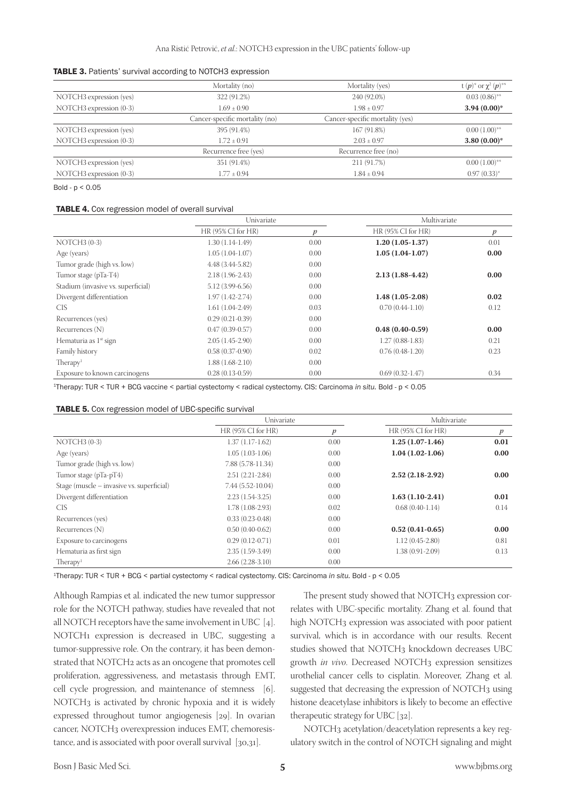| <b>TABLE 3.</b> Patients' survival according to NOTCH3 expression |  |  |  |  |
|-------------------------------------------------------------------|--|--|--|--|
|-------------------------------------------------------------------|--|--|--|--|

|                         | Mortality (no)                 | Mortality (yes)                 | t $(p)^*$ or $\chi^2(p)^{**}$ |
|-------------------------|--------------------------------|---------------------------------|-------------------------------|
| NOTCH3 expression (yes) | 322 (91.2%)                    | 240 (92.0%)                     | $0.03(0.86)$ **               |
| NOTCH3 expression (0-3) | $1.69 + 0.90$                  | $1.98 + 0.97$                   | $3.94(0.00)$ *                |
|                         | Cancer-specific mortality (no) | Cancer-specific mortality (yes) |                               |
| NOTCH3 expression (yes) | 395 (91.4%)                    | 167 (91.8%)                     | $0.00(1.00)$ <sup>**</sup>    |
| NOTCH3 expression (0-3) | $1.72 + 0.91$                  | $2.03 \pm 0.97$                 | $3.80(0.00)$ *                |
|                         | Recurrence free (yes)          | Recurrence free (no)            |                               |
| NOTCH3 expression (yes) | 351 (91.4%)                    | 211 (91.7%)                     | $0.00(1.00)$ <sup>**</sup>    |
| NOTCH3 expression (0-3) | $1.77 \pm 0.94$                | $1.84 \pm 0.94$                 | $0.97(0.33)^{*}$              |

Bold -  $p < 0.05$ 

#### TABLE 4. Cox regression model of overall survival

|                                    | Univariate           |                  | Multivariate         |                  |
|------------------------------------|----------------------|------------------|----------------------|------------------|
|                                    | $HR(95\% CI for HR)$ | $\boldsymbol{p}$ | $HR(95\% CI for HR)$ | $\boldsymbol{p}$ |
| $NOTCH3 (0-3)$                     | $1.30(1.14-1.49)$    | 0.00             | $1.20(1.05-1.37)$    | 0.01             |
| Age (years)                        | $1.05(1.04-1.07)$    | 0.00             | $1.05(1.04-1.07)$    | 0.00             |
| Tumor grade (high vs. low)         | 4.48 (3.44-5.82)     | 0.00             |                      |                  |
| Tumor stage (pTa-T4)               | $2.18(1.96-2.43)$    | 0.00             | $2.13(1.88-4.42)$    | 0.00             |
| Stadium (invasive vs. superficial) | 5.12 (3.99-6.56)     | 0.00             |                      |                  |
| Divergent differentiation          | $1.97(1.42 - 2.74)$  | 0.00             | $1.48(1.05-2.08)$    | 0.02             |
| <b>CIS</b>                         | $1.61(1.04-2.49)$    | 0.03             | $0.70(0.44-1.10)$    | 0.12             |
| Recurrences (yes)                  | $0.29(0.21-0.39)$    | 0.00             |                      |                  |
| Recurrences (N)                    | $0.47(0.39-0.57)$    | 0.00             | $0.48(0.40-0.59)$    | 0.00             |
| Hematuria as 1 <sup>st</sup> sign  | $2.05(1.45-2.90)$    | 0.00             | $1.27(0.88-1.83)$    | 0.21             |
| Family history                     | $0.58(0.37-0.90)$    | 0.02             | $0.76(0.48-1.20)$    | 0.23             |
| Therapy <sup>1</sup>               | $1.88(1.68-2.10)$    | 0.00             |                      |                  |
| Exposure to known carcinogens      | $0.28(0.13-0.59)$    | 0.00             | $0.69(0.32-1.47)$    | 0.34             |

<sup>1</sup>Therapy: TUR < TUR + BCG vaccine < partial cystectomy < radical cystectomy. CIS: Carcinoma *in situ.* Bold - p < 0.05

| <b>TABLE 5.</b> Cox regression model of UBC-specific survival |  |
|---------------------------------------------------------------|--|
|---------------------------------------------------------------|--|

|                                           | Univariate         |      | Multivariate         |                  |
|-------------------------------------------|--------------------|------|----------------------|------------------|
|                                           | HR (95% CI for HR) | p    | $HR(95\% CI for HR)$ | $\boldsymbol{p}$ |
| $NOTCH3 (0-3)$                            | $1.37(1.17-1.62)$  | 0.00 | $1.25(1.07-1.46)$    | 0.01             |
| Age (years)                               | $1.05(1.03-1.06)$  | 0.00 | $1.04(1.02-1.06)$    | 0.00             |
| Tumor grade (high vs. low)                | 7.88 (5.78-11.34)  | 0.00 |                      |                  |
| Tumor stage (pTa-pT4)                     | $2.51(2.21-2.84)$  | 0.00 | $2.52(2.18-2.92)$    | 0.00             |
| Stage (muscle – invasive vs. superficial) | $7.44(5.52-10.04)$ | 0.00 |                      |                  |
| Divergent differentiation                 | $2.23(1.54-3.25)$  | 0.00 | $1.63(1.10-2.41)$    | 0.01             |
| CIS <sub></sub>                           | $1.78(1.08-2.93)$  | 0.02 | $0.68(0.40-1.14)$    | 0.14             |
| Recurrences (yes)                         | $0.33(0.23-0.48)$  | 0.00 |                      |                  |
| Recurrences $(N)$                         | $0.50(0.40-0.62)$  | 0.00 | $0.52(0.41-0.65)$    | 0.00             |
| Exposure to carcinogens                   | $0.29(0.12-0.71)$  | 0.01 | $1.12(0.45-2.80)$    | 0.81             |
| Hematuria as first sign                   | $2.35(1.59-3.49)$  | 0.00 | $1.38(0.91-2.09)$    | 0.13             |
| Therapy <sup>1</sup>                      | $2.66(2.28-3.10)$  | 0.00 |                      |                  |

<sup>1</sup>Therapy: TUR < TUR + BCG < partial cystectomy < radical cystectomy. CIS: Carcinoma *in situ.* Bold - p < 0.05

Although Rampias et al. indicated the new tumor suppressor role for the NOTCH pathway, studies have revealed that not all NOTCH receptors have the same involvement in UBC [4]. NOTCH1 expression is decreased in UBC, suggesting a tumor-suppressive role. On the contrary, it has been demonstrated that NOTCH2 acts as an oncogene that promotes cell proliferation, aggressiveness, and metastasis through EMT, cell cycle progression, and maintenance of stemness [6]. NOTCH3 is activated by chronic hypoxia and it is widely expressed throughout tumor angiogenesis [29]. In ovarian cancer, NOTCH3 overexpression induces EMT, chemoresistance, and is associated with poor overall survival [30,31].

The present study showed that NOTCH3 expression correlates with UBC-specific mortality. Zhang et al. found that high NOTCH3 expression was associated with poor patient survival, which is in accordance with our results. Recent studies showed that NOTCH3 knockdown decreases UBC growth *in vivo*. Decreased NOTCH<sub>3</sub> expression sensitizes urothelial cancer cells to cisplatin. Moreover, Zhang et al. suggested that decreasing the expression of NOTCH3 using histone deacetylase inhibitors is likely to become an effective therapeutic strategy for UBC [32].

NOTCH3 acetylation/deacetylation represents a key regulatory switch in the control of NOTCH signaling and might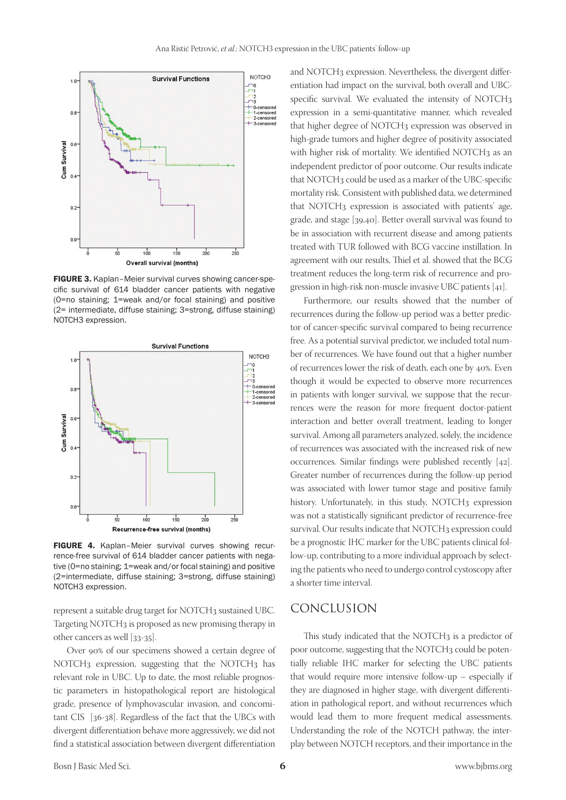

FIGURE 3. Kaplan–Meier survival curves showing cancer-specific survival of 614 bladder cancer patients with negative (0=no staining; 1=weak and/or focal staining) and positive (2= intermediate, diffuse staining; 3=strong, diffuse staining) NOTCH3 expression.



FIGURE 4. Kaplan–Meier survival curves showing recurrence-free survival of 614 bladder cancer patients with negative (0=no staining; 1=weak and/or focal staining) and positive (2=intermediate, diffuse staining; 3=strong, diffuse staining) NOTCH3 expression.

represent a suitable drug target for NOTCH3 sustained UBC. Targeting NOTCH3 is proposed as new promising therapy in other cancers as well [33-35].

Over 90% of our specimens showed a certain degree of NOTCH3 expression, suggesting that the NOTCH3 has relevant role in UBC. Up to date, the most reliable prognostic parameters in histopathological report are histological grade, presence of lymphovascular invasion, and concomitant CIS [36-38]. Regardless of the fact that the UBCs with divergent differentiation behave more aggressively, we did not find a statistical association between divergent differentiation

and NOTCH3 expression. Nevertheless, the divergent differentiation had impact on the survival, both overall and UBCspecific survival. We evaluated the intensity of NOTCH3 expression in a semi-quantitative manner, which revealed that higher degree of NOTCH<sub>3</sub> expression was observed in high-grade tumors and higher degree of positivity associated with higher risk of mortality. We identified NOTCH3 as an independent predictor of poor outcome. Our results indicate that NOTCH3 could be used as a marker of the UBC-specific mortality risk. Consistent with published data, we determined that NOTCH3 expression is associated with patients' age, grade, and stage [39,40]. Better overall survival was found to be in association with recurrent disease and among patients treated with TUR followed with BCG vaccine instillation. In agreement with our results, Thiel et al. showed that the BCG treatment reduces the long-term risk of recurrence and progression in high-risk non-muscle invasive UBC patients [41].

Furthermore, our results showed that the number of recurrences during the follow-up period was a better predictor of cancer-specific survival compared to being recurrence free. As a potential survival predictor, we included total number of recurrences. We have found out that a higher number of recurrences lower the risk of death, each one by 40%. Even though it would be expected to observe more recurrences in patients with longer survival, we suppose that the recurrences were the reason for more frequent doctor-patient interaction and better overall treatment, leading to longer survival. Among all parameters analyzed, solely, the incidence of recurrences was associated with the increased risk of new occurrences. Similar findings were published recently [42]. Greater number of recurrences during the follow-up period was associated with lower tumor stage and positive family history. Unfortunately, in this study, NOTCH3 expression was not a statistically significant predictor of recurrence-free survival. Our results indicate that NOTCH3 expression could be a prognostic IHC marker for the UBC patients clinical follow-up, contributing to a more individual approach by selecting the patients who need to undergo control cystoscopy after a shorter time interval.

### CONCLUSION

This study indicated that the NOTCH<sub>3</sub> is a predictor of poor outcome, suggesting that the NOTCH3 could be potentially reliable IHC marker for selecting the UBC patients that would require more intensive follow-up – especially if they are diagnosed in higher stage, with divergent differentiation in pathological report, and without recurrences which would lead them to more frequent medical assessments. Understanding the role of the NOTCH pathway, the interplay between NOTCH receptors, and their importance in the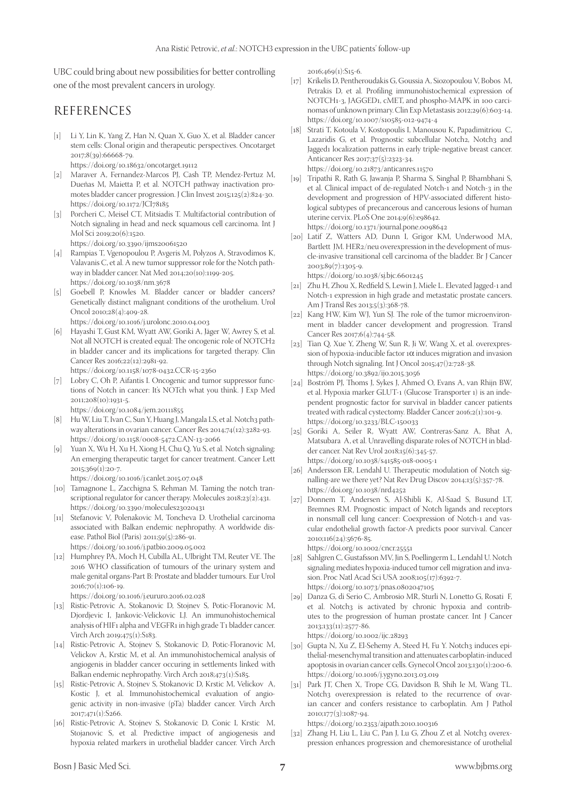UBC could bring about new possibilities for better controlling one of the most prevalent cancers in urology.

## REFERENCES

- [1] Li Y, Lin K, Yang Z, Han N, Quan X, Guo X, et al. Bladder cancer stem cells: Clonal origin and therapeutic perspectives. Oncotarget 2017;8(39):66668-79. https://doi.org/10.18632/oncotarget.19112
- [2] Maraver A, Fernandez-Marcos PJ, Cash TP, Mendez-Pertuz M, Dueñas M, Maietta P, et al. NOTCH pathway inactivation promotes bladder cancer progression. J Clin Invest 2015;125(2):824-30. https://doi.org/10.1172/JCI78185
- [3] Porcheri C, Meisel CT, Mitsiadis T. Multifactorial contribution of Notch signaling in head and neck squamous cell carcinoma. Int J Mol Sci 2019;20(6):1520. https://doi.org/10.3390/ijms20061520
- [4] Rampias T, Vgenopoulou P, Avgeris M, Polyzos A, Stravodimos K, Valavanis C, et al. A new tumor suppressor role for the Notch pathway in bladder cancer. Nat Med 2014;20(10):1199-205.
- https://doi.org/10.1038/nm.3678 [5] Goebell P, Knowles M. Bladder cancer or bladder cancers? Genetically distinct malignant conditions of the urothelium. Urol Oncol 2010;28(4):409-28.
- https://doi.org/10.1016/j.urolonc.2010.04.003
- [6] Hayashi T, Gust KM, Wyatt AW, Goriki A, Jäger W, Awrey S, et al. Not all NOTCH is created equal: The oncogenic role of NOTCH2 in bladder cancer and its implications for targeted therapy. Clin Cancer Res 2016;22(12):2981-92.

https://doi.org/10.1158/1078-0432.CCR-15-2360

[7] Lobry C, Oh P, Aifantis I. Oncogenic and tumor suppressor functions of Notch in cancer: It's NOTch what you think. J Exp Med 2011;208(10):1931-5.

https://doi.org/10.1084/jem.20111855

- [8] Hu W, Liu T, Ivan C, Sun Y, Huang J, Mangala LS, et al. Notch3 pathway alterations in ovarian cancer. Cancer Res 2014;74(12):3282-93. https://doi.org/10.1158/0008-5472.CAN-13-2066
- [9] Yuan X, Wu H, Xu H, Xiong H, Chu Q, Yu S, et al. Notch signaling: An emerging therapeutic target for cancer treatment. Cancer Lett 2015;369(1):20-7.

https://doi.org/10.1016/j.canlet.2015.07.048

- [10] Tamagnone L, Zacchigna S, Rehman M. Taming the notch transcriptional regulator for cancer therapy. Molecules 2018;23(2):431. https://doi.org/10.3390/molecules23020431
- [11] Stefanovic V, Polenakovic M, Toncheva D. Urothelial carcinoma associated with Balkan endemic nephropathy. A worldwide disease. Pathol Biol (Paris) 2011;59(5):286-91. https://doi.org/10.1016/j.patbio.2009.05.002
- [12] Humphrey PA, Moch H, Cubilla AL, Ulbright TM, Reuter VE. The 2016 WHO classification of tumours of the urinary system and male genital organs-Part B: Prostate and bladder tumours. Eur Urol 2016;70(1):106-19.

https://doi.org/10.1016/j.eururo.2016.02.028

- [13] Ristic-Petrovic A, Stokanovic D, Stojnev S, Potic-Floranovic M, Djordjevic I, Jankovic-Velickovic LJ. An immunohistochemical analysis of HIF1 alpha and VEGFR1 in high grade T1 bladder cancer. Virch Arch 2019;475(1):S183.
- [14] Ristic-Petrovic A, Stojnev S, Stokanovic D, Potic-Floranovic M, Velickov A, Krstic M, et al. An immunohistochemical analysis of angiogenis in bladder cancer occuring in settlements linked with Balkan endemic nephropathy. Virch Arch 2018;473(1):S185.
- [15] Ristic-Petrovic A, Stojnev S, Stokanovic D, Krstic M, Velickov A, Kostic J, et al. Immunohistochemical evaluation of angiogenic activity in non-invasive (pTa) bladder cancer. Virch Arch 2017;471(1):S266.
- [16] Ristic-Petrovic A, Stojnev S, Stokanovic D, Conic I, Krstic M, Stojanovic S, et al. Predictive impact of angiogenesis and hypoxia related markers in urothelial bladder cancer. Virch Arch

2016;469(1):S15-6.

- [17] Krikelis D, Pentheroudakis G, Goussia A, Siozopoulou V, Bobos M, Petrakis D, et al. Profiling immunohistochemical expression of NOTCH1-3, JAGGED1, cMET, and phospho-MAPK in 100 carcinomas of unknown primary. Clin Exp Metastasis 2012;29(6):603-14. https://doi.org/10.1007/s10585-012-9474-4
- [18] Strati T, Kotoula V, Kostopoulis I, Manousou K, Papadimitriou C, Lazaridis G, et al. Prognostic subcellular Notch<sub>2</sub>, Notch<sub>3</sub> and Jagged1 localization patterns in early triple-negative breast cancer. Anticancer Res 2017;37(5):2323-34. https://doi.org/10.21873/anticanres.11570
- [19] Tripathi R, Rath G, Jawanja P, Sharma S, Singhal P, Bhambhani S, et al. Clinical impact of de-regulated Notch-1 and Notch-3 in the development and progression of HPV-associated different histological subtypes of precancerous and cancerous lesions of human uterine cervix. PLoS One 2014;9(6):e98642. https://doi.org/10.1371/journal.pone.0098642
- [20] Latif Z, Watters AD, Dunn I, Grigor KM, Underwood MA, Bartlett JM. HER2/neu overexpression in the development of muscle-invasive transitional cell carcinoma of the bladder. Br J Cancer 2003;89(7):1305-9.

https://doi.org/10.1038/sj.bjc.6601245

- [21] Zhu H, Zhou X, Redfield S, Lewin J, Miele L. Elevated Jagged-1 and Notch-1 expression in high grade and metastatic prostate cancers. Am J Transl Res 2013;5(3):368-78.
- [22] Kang HW, Kim WJ, Yun SJ. The role of the tumor microenvironment in bladder cancer development and progression. Transl Cancer Res 2017;6(4):744-58.
- [23] Tian Q, Xue Y, Zheng W, Sun R, Ji W, Wang X, et al. overexpression of hypoxia-inducible factor  $1\alpha$  induces migration and invasion through Notch signaling. Int J Oncol 2015;47()2:728-38. https://doi.org/10.3892/ijo.2015.3056
- [24] Boström PJ, Thoms J, Sykes J, Ahmed O, Evans A, van Rhijn BW, et al. Hypoxia marker GLUT-1 (Glucose Transporter 1) is an independent prognostic factor for survival in bladder cancer patients treated with radical cystectomy. Bladder Cancer 2016;2(1):101-9. https://doi.org/10.3233/BLC-150033
- [25] Goriki A, Seiler R, Wyatt AW, Contreras-Sanz A, Bhat A, Matsubara A, et al. Unravelling disparate roles of NOTCH in bladder cancer. Nat Rev Urol 2018;15(6):345-57. https://doi.org/10.1038/s41585-018-0005-1
- [26] Andersson ER, Lendahl U. Therapeutic modulation of Notch signalling-are we there yet? Nat Rev Drug Discov 2014;13(5):357-78. https://doi.org/10.1038/nrd4252
- [27] Donnem T, Andersen S, Al-Shibli K, Al-Saad S, Busund LT, Bremnes RM. Prognostic impact of Notch ligands and receptors in nonsmall cell lung cancer: Coexpression of Notch-1 and vascular endothelial growth factor-A predicts poor survival. Cancer 2010;116(24):5676-85. https://doi.org/10.1002/cncr.25551
- [28] Sahlgren C, Gustafsson MV, Jin S, Poellingerm L, Lendahl U. Notch signaling mediates hypoxia-induced tumor cell migration and invasion. Proc Natl Acad Sci USA 2008;105(17):6392-7. https://doi.org/10.1073/pnas.0802047105
- [29] Danza G, di Serio C, Ambrosio MR, Sturli N, Lonetto G, Rosati F, et al. Notch3 is activated by chronic hypoxia and contributes to the progression of human prostate cancer. Int J Cancer 2013;133(11):2577-86. https://doi.org/10.1002/ijc.28293
- [30] Gupta N, Xu Z, El-Sehemy A, Steed H, Fu Y. Notch3 induces epithelial-mesenchymal transition and attenuates carboplatin-induced apoptosis in ovarian cancer cells. Gynecol Oncol 2013;130(1):200-6. https://doi.org/10.1016/j.ygyno.2013.03.019
- [31] Park JT, Chen X, Trope CG, Davidson B, Shih Ie M, Wang TL. Notch3 overexpression is related to the recurrence of ovarian cancer and confers resistance to carboplatin. Am J Pathol 2010;177(3):1087-94.

https://doi.org/10.2353/ajpath.2010.100316

[32] Zhang H, Liu L, Liu C, Pan J, Lu G, Zhou Z et al. Notch3 overexpression enhances progression and chemoresistance of urothelial